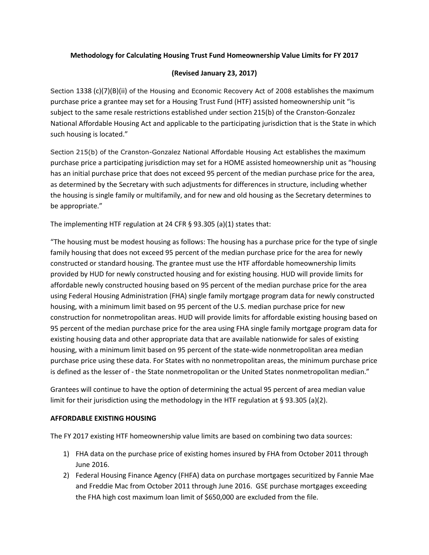## **Methodology for Calculating Housing Trust Fund Homeownership Value Limits for FY 2017**

## **(Revised January 23, 2017)**

Section 1338 (c)(7)(B)(ii) of the Housing and Economic Recovery Act of 2008 establishes the maximum purchase price a grantee may set for a Housing Trust Fund (HTF) assisted homeownership unit "is subject to the same resale restrictions established under section 215(b) of the Cranston-Gonzalez National Affordable Housing Act and applicable to the participating jurisdiction that is the State in which such housing is located."

Section 215(b) of the Cranston-Gonzalez National Affordable Housing Act establishes the maximum purchase price a participating jurisdiction may set for a HOME assisted homeownership unit as "housing has an initial purchase price that does not exceed 95 percent of the median purchase price for the area, as determined by the Secretary with such adjustments for differences in structure, including whether the housing is single family or multifamily, and for new and old housing as the Secretary determines to be appropriate."

The implementing HTF regulation at 24 CFR § 93.305 (a)(1) states that:

"The housing must be modest housing as follows: The housing has a purchase price for the type of single family housing that does not exceed 95 percent of the median purchase price for the area for newly constructed or standard housing. The grantee must use the HTF affordable homeownership limits provided by HUD for newly constructed housing and for existing housing. HUD will provide limits for affordable newly constructed housing based on 95 percent of the median purchase price for the area using Federal Housing Administration (FHA) single family mortgage program data for newly constructed housing, with a minimum limit based on 95 percent of the U.S. median purchase price for new construction for nonmetropolitan areas. HUD will provide limits for affordable existing housing based on 95 percent of the median purchase price for the area using FHA single family mortgage program data for existing housing data and other appropriate data that are available nationwide for sales of existing housing, with a minimum limit based on 95 percent of the state-wide nonmetropolitan area median purchase price using these data. For States with no nonmetropolitan areas, the minimum purchase price is defined as the lesser of - the State nonmetropolitan or the United States nonmetropolitan median."

Grantees will continue to have the option of determining the actual 95 percent of area median value limit for their jurisdiction using the methodology in the HTF regulation at § 93.305 (a)(2).

## **AFFORDABLE EXISTING HOUSING**

The FY 2017 existing HTF homeownership value limits are based on combining two data sources:

- 1) FHA data on the purchase price of existing homes insured by FHA from October 2011 through June 2016.
- 2) Federal Housing Finance Agency (FHFA) data on purchase mortgages securitized by Fannie Mae and Freddie Mac from October 2011 through June 2016. GSE purchase mortgages exceeding the FHA high cost maximum loan limit of \$650,000 are excluded from the file.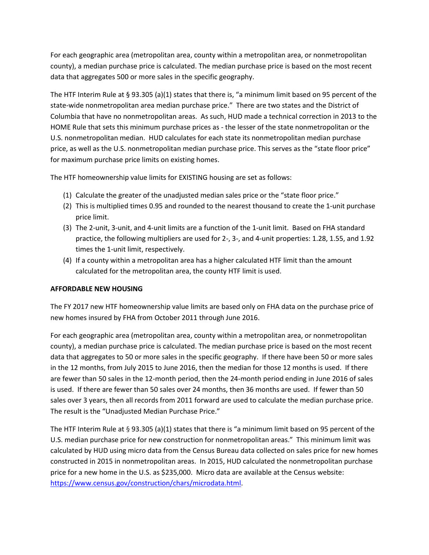For each geographic area (metropolitan area, county within a metropolitan area, or nonmetropolitan county), a median purchase price is calculated. The median purchase price is based on the most recent data that aggregates 500 or more sales in the specific geography.

The HTF Interim Rule at § 93.305 (a)(1) states that there is, "a minimum limit based on 95 percent of the state-wide nonmetropolitan area median purchase price." There are two states and the District of Columbia that have no nonmetropolitan areas. As such, HUD made a technical correction in 2013 to the HOME Rule that sets this minimum purchase prices as - the lesser of the state nonmetropolitan or the U.S. nonmetropolitan median. HUD calculates for each state its nonmetropolitan median purchase price, as well as the U.S. nonmetropolitan median purchase price. This serves as the "state floor price" for maximum purchase price limits on existing homes.

The HTF homeownership value limits for EXISTING housing are set as follows:

- (1) Calculate the greater of the unadjusted median sales price or the "state floor price."
- (2) This is multiplied times 0.95 and rounded to the nearest thousand to create the 1-unit purchase price limit.
- (3) The 2-unit, 3-unit, and 4-unit limits are a function of the 1-unit limit. Based on FHA standard practice, the following multipliers are used for 2-, 3-, and 4-unit properties: 1.28, 1.55, and 1.92 times the 1-unit limit, respectively.
- (4) If a county within a metropolitan area has a higher calculated HTF limit than the amount calculated for the metropolitan area, the county HTF limit is used.

## **AFFORDABLE NEW HOUSING**

The FY 2017 new HTF homeownership value limits are based only on FHA data on the purchase price of new homes insured by FHA from October 2011 through June 2016.

For each geographic area (metropolitan area, county within a metropolitan area, or nonmetropolitan county), a median purchase price is calculated. The median purchase price is based on the most recent data that aggregates to 50 or more sales in the specific geography. If there have been 50 or more sales in the 12 months, from July 2015 to June 2016, then the median for those 12 months is used. If there are fewer than 50 sales in the 12-month period, then the 24-month period ending in June 2016 of sales is used. If there are fewer than 50 sales over 24 months, then 36 months are used. If fewer than 50 sales over 3 years, then all records from 2011 forward are used to calculate the median purchase price. The result is the "Unadjusted Median Purchase Price."

The HTF Interim Rule at § 93.305 (a)(1) states that there is "a minimum limit based on 95 percent of the U.S. median purchase price for new construction for nonmetropolitan areas." This minimum limit was calculated by HUD using micro data from the Census Bureau data collected on sales price for new homes constructed in 2015 in nonmetropolitan areas. In 2015, HUD calculated the nonmetropolitan purchase price for a new home in the U.S. as \$235,000. Micro data are available at the Census website: [https://www.census.gov/construction/chars/microdata.html.](https://www.census.gov/construction/chars/microdata.html)